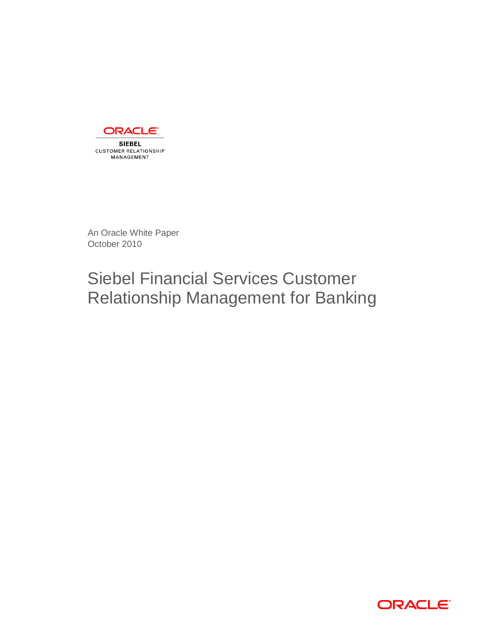

**SIEBEL CUSTOMER RELATIONSHIP** MANAGEMENT

An Oracle White Paper October 2010

# Siebel Financial Services Customer Relationship Management for Banking

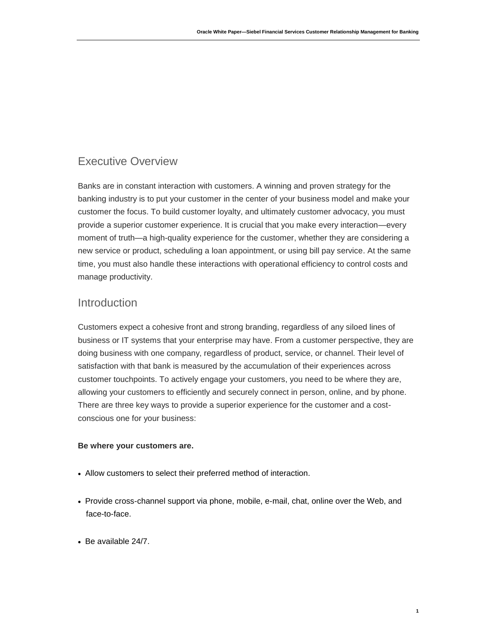# Executive Overview

Banks are in constant interaction with customers. A winning and proven strategy for the banking industry is to put your customer in the center of your business model and make your customer the focus. To build customer loyalty, and ultimately customer advocacy, you must provide a superior customer experience. It is crucial that you make every interaction—every moment of truth—a high-quality experience for the customer, whether they are considering a new service or product, scheduling a loan appointment, or using bill pay service. At the same time, you must also handle these interactions with operational efficiency to control costs and manage productivity.

### Introduction

Customers expect a cohesive front and strong branding, regardless of any siloed lines of business or IT systems that your enterprise may have. From a customer perspective, they are doing business with one company, regardless of product, service, or channel. Their level of satisfaction with that bank is measured by the accumulation of their experiences across customer touchpoints. To actively engage your customers, you need to be where they are, allowing your customers to efficiently and securely connect in person, online, and by phone. There are three key ways to provide a superior experience for the customer and a costconscious one for your business:

#### **Be where your customers are.**

- Allow customers to select their preferred method of interaction.
- Provide cross-channel support via phone, mobile, e-mail, chat, online over the Web, and face-to-face.
- Be available 24/7.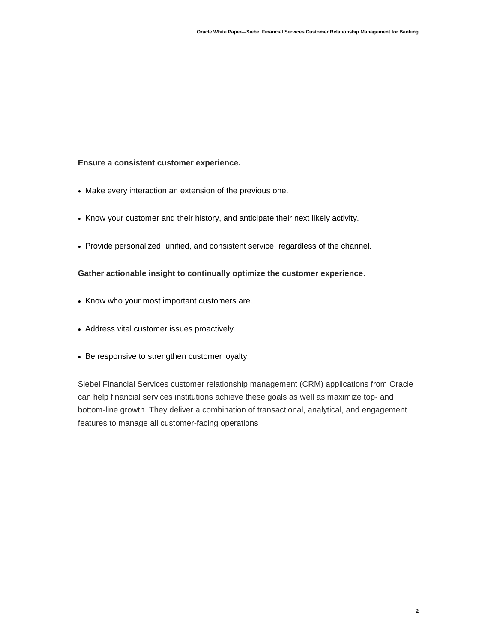#### **Ensure a consistent customer experience.**

- Make every interaction an extension of the previous one.
- Know your customer and their history, and anticipate their next likely activity.
- Provide personalized, unified, and consistent service, regardless of the channel.

#### **Gather actionable insight to continually optimize the customer experience.**

- Know who your most important customers are.
- Address vital customer issues proactively.
- Be responsive to strengthen customer loyalty.

Siebel Financial Services customer relationship management (CRM) applications from Oracle can help financial services institutions achieve these goals as well as maximize top- and bottom-line growth. They deliver a combination of transactional, analytical, and engagement features to manage all customer-facing operations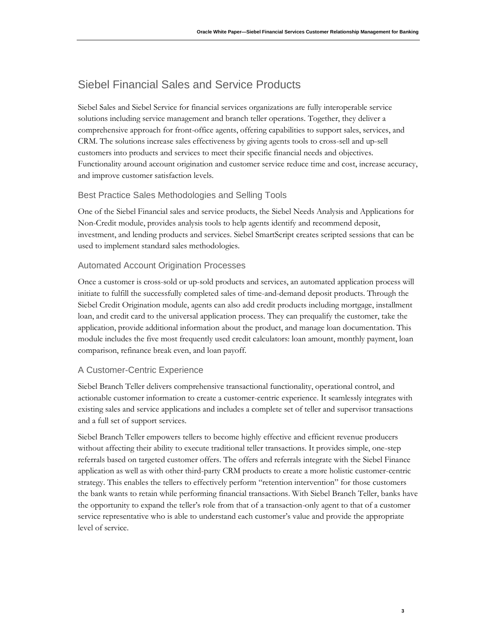# Siebel Financial Sales and Service Products

Siebel Sales and Siebel Service for financial services organizations are fully interoperable service solutions including service management and branch teller operations. Together, they deliver a comprehensive approach for front-office agents, offering capabilities to support sales, services, and CRM. The solutions increase sales effectiveness by giving agents tools to cross-sell and up-sell customers into products and services to meet their specific financial needs and objectives. Functionality around account origination and customer service reduce time and cost, increase accuracy, and improve customer satisfaction levels.

### Best Practice Sales Methodologies and Selling Tools

One of the Siebel Financial sales and service products, the Siebel Needs Analysis and Applications for Non-Credit module, provides analysis tools to help agents identify and recommend deposit, investment, and lending products and services. Siebel SmartScript creates scripted sessions that can be used to implement standard sales methodologies.

### Automated Account Origination Processes

Once a customer is cross-sold or up-sold products and services, an automated application process will initiate to fulfill the successfully completed sales of time-and-demand deposit products. Through the Siebel Credit Origination module, agents can also add credit products including mortgage, installment loan, and credit card to the universal application process. They can prequalify the customer, take the application, provide additional information about the product, and manage loan documentation. This module includes the five most frequently used credit calculators: loan amount, monthly payment, loan comparison, refinance break even, and loan payoff.

### A Customer-Centric Experience

Siebel Branch Teller delivers comprehensive transactional functionality, operational control, and actionable customer information to create a customer-centric experience. It seamlessly integrates with existing sales and service applications and includes a complete set of teller and supervisor transactions and a full set of support services.

Siebel Branch Teller empowers tellers to become highly effective and efficient revenue producers without affecting their ability to execute traditional teller transactions. It provides simple, one-step referrals based on targeted customer offers. The offers and referrals integrate with the Siebel Finance application as well as with other third-party CRM products to create a more holistic customer-centric strategy. This enables the tellers to effectively perform "retention intervention" for those customers the bank wants to retain while performing financial transactions. With Siebel Branch Teller, banks have the opportunity to expand the teller's role from that of a transaction-only agent to that of a customer service representative who is able to understand each customer's value and provide the appropriate level of service.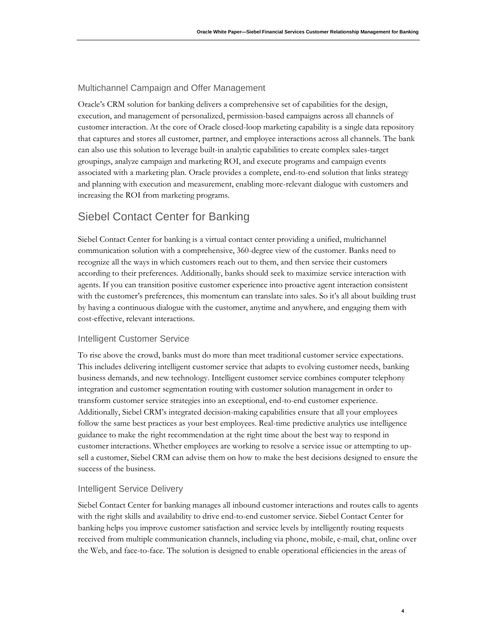#### Multichannel Campaign and Offer Management

Oracle's CRM solution for banking delivers a comprehensive set of capabilities for the design, execution, and management of personalized, permission-based campaigns across all channels of customer interaction. At the core of Oracle closed-loop marketing capability is a single data repository that captures and stores all customer, partner, and employee interactions across all channels. The bank can also use this solution to leverage built-in analytic capabilities to create complex sales-target groupings, analyze campaign and marketing ROI, and execute programs and campaign events associated with a marketing plan. Oracle provides a complete, end-to-end solution that links strategy and planning with execution and measurement, enabling more-relevant dialogue with customers and increasing the ROI from marketing programs.

### Siebel Contact Center for Banking

Siebel Contact Center for banking is a virtual contact center providing a unified, multichannel communication solution with a comprehensive, 360-degree view of the customer. Banks need to recognize all the ways in which customers reach out to them, and then service their customers according to their preferences. Additionally, banks should seek to maximize service interaction with agents. If you can transition positive customer experience into proactive agent interaction consistent with the customer's preferences, this momentum can translate into sales. So it's all about building trust by having a continuous dialogue with the customer, anytime and anywhere, and engaging them with cost-effective, relevant interactions.

#### Intelligent Customer Service

To rise above the crowd, banks must do more than meet traditional customer service expectations. This includes delivering intelligent customer service that adapts to evolving customer needs, banking business demands, and new technology. Intelligent customer service combines computer telephony integration and customer segmentation routing with customer solution management in order to transform customer service strategies into an exceptional, end-to-end customer experience. Additionally, Siebel CRM's integrated decision-making capabilities ensure that all your employees follow the same best practices as your best employees. Real-time predictive analytics use intelligence guidance to make the right recommendation at the right time about the best way to respond in customer interactions. Whether employees are working to resolve a service issue or attempting to upsell a customer, Siebel CRM can advise them on how to make the best decisions designed to ensure the success of the business.

#### Intelligent Service Delivery

Siebel Contact Center for banking manages all inbound customer interactions and routes calls to agents with the right skills and availability to drive end-to-end customer service. Siebel Contact Center for banking helps you improve customer satisfaction and service levels by intelligently routing requests received from multiple communication channels, including via phone, mobile, e-mail, chat, online over the Web, and face-to-face. The solution is designed to enable operational efficiencies in the areas of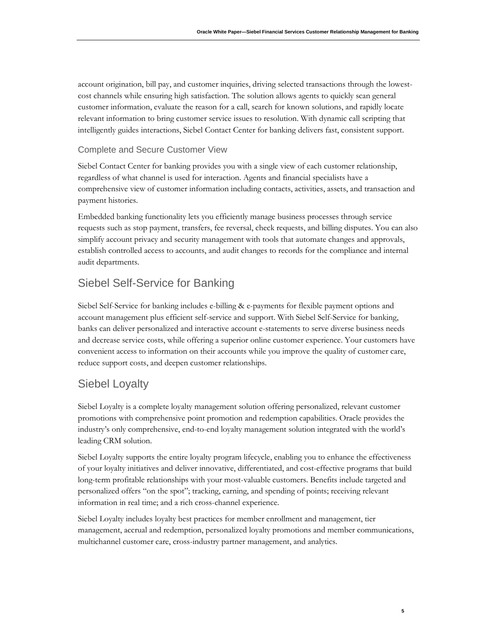account origination, bill pay, and customer inquiries, driving selected transactions through the lowestcost channels while ensuring high satisfaction. The solution allows agents to quickly scan general customer information, evaluate the reason for a call, search for known solutions, and rapidly locate relevant information to bring customer service issues to resolution. With dynamic call scripting that intelligently guides interactions, Siebel Contact Center for banking delivers fast, consistent support.

### Complete and Secure Customer View

Siebel Contact Center for banking provides you with a single view of each customer relationship, regardless of what channel is used for interaction. Agents and financial specialists have a comprehensive view of customer information including contacts, activities, assets, and transaction and payment histories.

Embedded banking functionality lets you efficiently manage business processes through service requests such as stop payment, transfers, fee reversal, check requests, and billing disputes. You can also simplify account privacy and security management with tools that automate changes and approvals, establish controlled access to accounts, and audit changes to records for the compliance and internal audit departments.

# Siebel Self-Service for Banking

Siebel Self-Service for banking includes e-billing & e-payments for flexible payment options and account management plus efficient self-service and support. With Siebel Self-Service for banking, banks can deliver personalized and interactive account e-statements to serve diverse business needs and decrease service costs, while offering a superior online customer experience. Your customers have convenient access to information on their accounts while you improve the quality of customer care, reduce support costs, and deepen customer relationships.

## Siebel Loyalty

Siebel Loyalty is a complete loyalty management solution offering personalized, relevant customer promotions with comprehensive point promotion and redemption capabilities. Oracle provides the industry's only comprehensive, end-to-end loyalty management solution integrated with the world's leading CRM solution.

Siebel Loyalty supports the entire loyalty program lifecycle, enabling you to enhance the effectiveness of your loyalty initiatives and deliver innovative, differentiated, and cost-effective programs that build long-term profitable relationships with your most-valuable customers. Benefits include targeted and personalized offers "on the spot"; tracking, earning, and spending of points; receiving relevant information in real time; and a rich cross-channel experience.

Siebel Loyalty includes loyalty best practices for member enrollment and management, tier management, accrual and redemption, personalized loyalty promotions and member communications, multichannel customer care, cross-industry partner management, and analytics.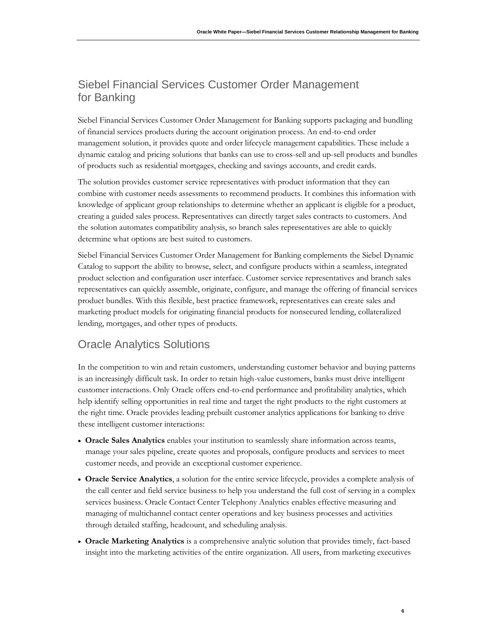# Siebel Financial Services Customer Order Management for Banking

Siebel Financial Services Customer Order Management for Banking supports packaging and bundling of financial services products during the account origination process. An end-to-end order management solution, it provides quote and order lifecycle management capabilities. These include a dynamic catalog and pricing solutions that banks can use to cross-sell and up-sell products and bundles of products such as residential mortgages, checking and savings accounts, and credit cards.

The solution provides customer service representatives with product information that they can combine with customer needs assessments to recommend products. It combines this information with knowledge of applicant group relationships to determine whether an applicant is eligible for a product, creating a guided sales process. Representatives can directly target sales contracts to customers. And the solution automates compatibility analysis, so branch sales representatives are able to quickly determine what options are best suited to customers.

Siebel Financial Services Customer Order Management for Banking complements the Siebel Dynamic Catalog to support the ability to browse, select, and configure products within a seamless, integrated product selection and configuration user interface. Customer service representatives and branch sales representatives can quickly assemble, originate, configure, and manage the offering of financial services product bundles. With this flexible, best practice framework, representatives can create sales and marketing product models for originating financial products for nonsecured lending, collateralized lending, mortgages, and other types of products.

# Oracle Analytics Solutions

In the competition to win and retain customers, understanding customer behavior and buying patterns is an increasingly difficult task. In order to retain high-value customers, banks must drive intelligent customer interactions. Only Oracle offers end-to-end performance and profitability analytics, which help identify selling opportunities in real time and target the right products to the right customers at the right time. Oracle provides leading prebuilt customer analytics applications for banking to drive these intelligent customer interactions:

- **Oracle Sales Analytics** enables your institution to seamlessly share information across teams, manage your sales pipeline, create quotes and proposals, configure products and services to meet customer needs, and provide an exceptional customer experience.
- **Oracle Service Analytics**, a solution for the entire service lifecycle, provides a complete analysis of the call center and field service business to help you understand the full cost of serving in a complex services business. Oracle Contact Center Telephony Analytics enables effective measuring and managing of multichannel contact center operations and key business processes and activities through detailed staffing, headcount, and scheduling analysis.
- **Oracle Marketing Analytics** is a comprehensive analytic solution that provides timely, fact-based insight into the marketing activities of the entire organization. All users, from marketing executives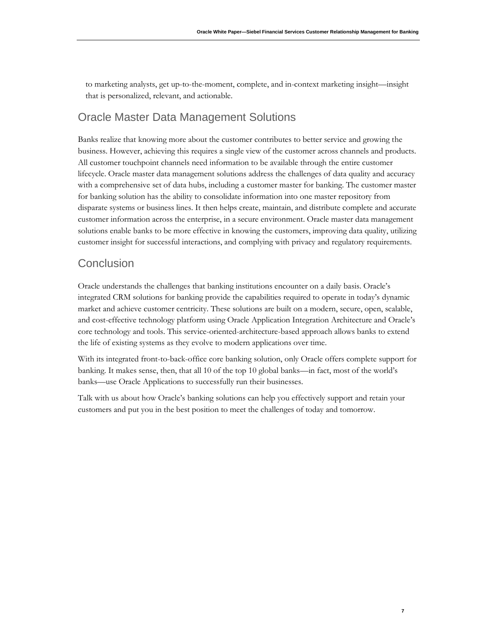to marketing analysts, get up-to-the-moment, complete, and in-context marketing insight—insight that is personalized, relevant, and actionable.

# Oracle Master Data Management Solutions

Banks realize that knowing more about the customer contributes to better service and growing the business. However, achieving this requires a single view of the customer across channels and products. All customer touchpoint channels need information to be available through the entire customer lifecycle. Oracle master data management solutions address the challenges of data quality and accuracy with a comprehensive set of data hubs, including a customer master for banking. The customer master for banking solution has the ability to consolidate information into one master repository from disparate systems or business lines. It then helps create, maintain, and distribute complete and accurate customer information across the enterprise, in a secure environment. Oracle master data management solutions enable banks to be more effective in knowing the customers, improving data quality, utilizing customer insight for successful interactions, and complying with privacy and regulatory requirements.

### **Conclusion**

Oracle understands the challenges that banking institutions encounter on a daily basis. Oracle's integrated CRM solutions for banking provide the capabilities required to operate in today's dynamic market and achieve customer centricity. These solutions are built on a modern, secure, open, scalable, and cost-effective technology platform using Oracle Application Integration Architecture and Oracle's core technology and tools. This service-oriented-architecture-based approach allows banks to extend the life of existing systems as they evolve to modern applications over time.

With its integrated front-to-back-office core banking solution, only Oracle offers complete support for banking. It makes sense, then, that all 10 of the top 10 global banks—in fact, most of the world's banks—use Oracle Applications to successfully run their businesses.

Talk with us about how Oracle's banking solutions can help you effectively support and retain your customers and put you in the best position to meet the challenges of today and tomorrow.